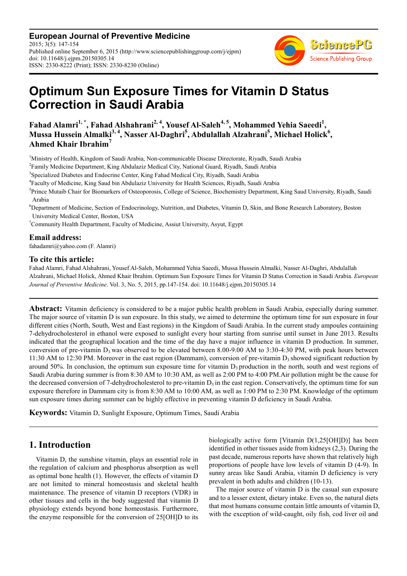**European Journal of Preventive Medicine** 2015; 3(5): 147-154 Published online September 6, 2015 (http://www.sciencepublishinggroup.com/j/ejpm) doi: 10.11648/j.ejpm.20150305.14 ISSN: 2330-8222 (Print); ISSN: 2330-8230 (Online)



# **Optimum Sun Exposure Times for Vitamin D Status Correction in Saudi Arabia**

**Fahad Alamri1, \*, Fahad Alshahrani2, 4, Yousef Al-Saleh4, 5, Mohammed Yehia Saeedi<sup>1</sup> , Mussa Hussein Almalki3, 4, Nasser Al-Daghri<sup>5</sup> , Abdulallah Alzahrani<sup>5</sup> , Michael Holick<sup>6</sup> , Ahmed Khair Ibrahim<sup>7</sup>**

<sup>1</sup>Ministry of Health, Kingdom of Saudi Arabia, Non-communicable Disease Directorate, Riyadh, Saudi Arabia

<sup>2</sup> Family Medicine Department, King Abdulaziz Medical City, National Guard, Riyadh, Saudi Arabia

<sup>3</sup>Specialized Diabetes and Endocrine Center, King Fahad Medical City, Riyadh, Saudi Arabia

4 Faculty of Medicine, King Saud bin Abdulaziz University for Health Sciences, Riyadh, Saudi Arabia

<sup>5</sup>Prince Mutaib Chair for Biomarkers of Osteoporosis, College of Science, Biochemistry Department, King Saud University, Riyadh, Saudi Arabia

<sup>6</sup>Department of Medicine, Section of Endocrinology, Nutrition, and Diabetes, Vitamin D, Skin, and Bone Research Laboratory, Boston University Medical Center, Boston, USA

 $\alpha$ <sup>7</sup>Community Health Department, Faculty of Medicine, Assiut University, Asyut, Egypt

#### **Email address:**

fahadamri@yahoo.com (F. Alamri)

#### **To cite this article:**

Fahad Alamri, Fahad Alshahrani, Yousef Al-Saleh, Mohammed Yehia Saeedi, Mussa Hussein Almalki, Nasser Al-Daghri, Abdulallah Alzahrani, Michael Holick, Ahmed Khair Ibrahim. Optimum Sun Exposure Times for Vitamin D Status Correction in Saudi Arabia. *European Journal of Preventive Medicine*. Vol. 3, No. 5, 2015, pp.147-154. doi: 10.11648/j.ejpm.20150305.14

**Abstract:** Vitamin deficiency is considered to be a major public health problem in Saudi Arabia, especially during summer. The major source of vitamin D is sun exposure. In this study, we aimed to determine the optimum time for sun exposure in four different cities (North, South, West and East regions) in the Kingdom of Saudi Arabia. In the current study ampoules containing 7-dehydrocholesterol in ethanol were exposed to sunlight every hour starting from sunrise until sunset in June 2013. Results indicated that the geographical location and the time of the day have a major influence in vitamin D production. In summer, conversion of pre-vitamin  $D_3$  was observed to be elevated between 8.00-9.00 AM to 3:30-4:30 PM, with peak hours between 11:30 AM to 12:30 PM. Moreover in the east region (Dammam), conversion of pre-vitamin  $D_3$  showed significant reduction by around 50%. In conclusion, the optimum sun exposure time for vitamin  $D_3$  production in the north, south and west regions of Saudi Arabia during summer is from 8:30 AM to 10:30 AM, as well as 2:00 PM to 4:00 PM.Air pollution might be the cause for the decreased conversion of 7-dehydrocholesterol to pre-vitamin  $D_3$  in the east region. Conservatively, the optimum time for sun exposure therefore in Dammam city is from 8:30 AM to 10:00 AM, as well as 1:00 PM to 2:30 PM. Knowledge of the optimum sun exposure times during summer can be highly effective in preventing vitamin D deficiency in Saudi Arabia.

**Keywords:** Vitamin D, Sunlight Exposure, Optimum Times, Saudi Arabia

## **1. Introduction**

Vitamin D, the sunshine vitamin, plays an essential role in the regulation of calcium and phosphorus absorption as well as optimal bone health (1). However, the effects of vitamin D are not limited to mineral homeostasis and skeletal health maintenance. The presence of vitamin D receptors (VDR) in other tissues and cells in the body suggested that vitamin D physiology extends beyond bone homeostasis. Furthermore, the enzyme responsible for the conversion of 25[OH]D to its

biologically active form [Vitamin D(1,25[OH]D)] has been identified in other tissues aside from kidneys (2,3). During the past decade, numerous reports have shown that relatively high proportions of people have low levels of vitamin D (4-9). In sunny areas like Saudi Arabia, vitamin D deficiency is very prevalent in both adults and children (10-13).

The major source of vitamin D is the casual sun exposure and to a lesser extent, dietary intake. Even so, the natural diets that most humans consume contain little amounts of vitamin D, with the exception of wild-caught, oily fish, cod liver oil and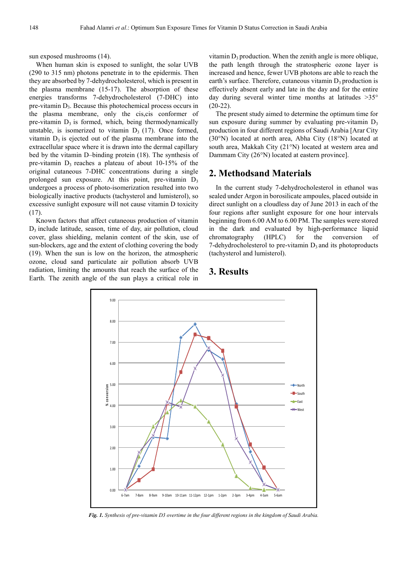sun exposed mushrooms (14).

When human skin is exposed to sunlight, the solar UVB (290 to 315 nm) photons penetrate in to the epidermis. Then they are absorbed by 7-dehydrocholesterol, which is present in the plasma membrane (15-17). The absorption of these energies transforms 7-dehydrocholesterol (7-DHC) into pre-vitamin  $D_3$ . Because this photochemical process occurs in the plasma membrane, only the cis,cis conformer of pre-vitamin  $D_3$  is formed, which, being thermodynamically unstable, is isomerized to vitamin  $D_3$  (17). Once formed, vitamin  $D_3$  is ejected out of the plasma membrane into the extracellular space where it is drawn into the dermal capillary bed by the vitamin D–binding protein (18). The synthesis of pre-vitamin  $D_3$  reaches a plateau of about 10-15% of the original cutaneous 7-DHC concentrations during a single prolonged sun exposure. At this point, pre-vitamin  $D_3$ undergoes a process of photo-isomerization resulted into two biologically inactive products (tachysterol and lumisterol), so excessive sunlight exposure will not cause vitamin D toxicity (17).

Known factors that affect cutaneous production of vitamin D3 include latitude, season, time of day, air pollution, cloud cover, glass shielding, melanin content of the skin, use of sun-blockers, age and the extent of clothing covering the body (19). When the sun is low on the horizon, the atmospheric ozone, cloud sand particulate air pollution absorb UVB radiation, limiting the amounts that reach the surface of the Earth. The zenith angle of the sun plays a critical role in

vitamin  $D_3$  production. When the zenith angle is more oblique, the path length through the stratospheric ozone layer is increased and hence, fewer UVB photons are able to reach the earth's surface. Therefore, cutaneous vitamin  $D_3$  production is effectively absent early and late in the day and for the entire day during several winter time months at latitudes >35°  $(20-22)$ .

The present study aimed to determine the optimum time for sun exposure during summer by evaluating pre-vitamin  $D_3$ production in four different regions of Saudi Arabia [Arar City (30°N) located at north area, Abha City (18°N) located at south area, Makkah City (21°N) located at western area and Dammam City (26°N) located at eastern province].

# **2. Methodsand Materials**

In the current study 7-dehydrocholesterol in ethanol was sealed under Argon in borosilicate ampoules, placed outside in direct sunlight on a cloudless day of June 2013 in each of the four regions after sunlight exposure for one hour intervals beginning from 6.00 AM to 6.00 PM. The samples were stored in the dark and evaluated by high-performance liquid chromatography (HPLC) for the conversion of 7-dehydrocholesterol to pre-vitamin  $D_3$  and its photoproducts (tachysterol and lumisterol).

### **3. Results**



*Fig. 1. Synthesis of pre-vitamin D3 overtime in the four different regions in the kingdom of Saudi Arabia.*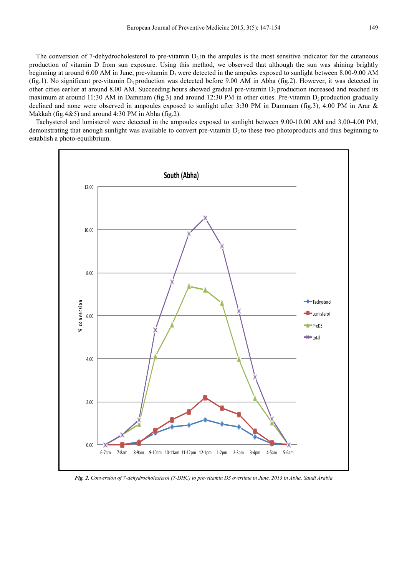The conversion of 7-dehydrocholesterol to pre-vitamin  $D_3$  in the ampules is the most sensitive indicator for the cutaneous production of vitamin D from sun exposure. Using this method, we observed that although the sun was shining brightly beginning at around 6.00 AM in June, pre-vitamin  $D_3$  were detected in the ampules exposed to sunlight between 8.00-9.00 AM (fig.1). No significant pre-vitamin  $D_3$  production was detected before 9.00 AM in Abha (fig.2). However, it was detected in other cities earlier at around 8.00 AM. Succeeding hours showed gradual pre-vitamin  $D_3$  production increased and reached its maximum at around 11:30 AM in Dammam (fig.3) and around 12:30 PM in other cities. Pre-vitamin  $D_3$  production gradually declined and none were observed in ampoules exposed to sunlight after 3:30 PM in Dammam (fig.3), 4.00 PM in Arar &

Makkah (fig.4 $&$ 5) and around 4:30 PM in Abha (fig.2). Tachysterol and lumisterol were detected in the ampoules exposed to sunlight between 9.00-10.00 AM and 3.00-4.00 PM, demonstrating that enough sunlight was available to convert pre-vitamin  $D_3$  to these two photoproducts and thus beginning to establish a photo-equilibrium.



*Fig. 2. Conversion of 7-dehydrocholesterol (7-DHC) to pre-vitamin D3 overtime in June, 2013 in Abha, Saudi Arabia*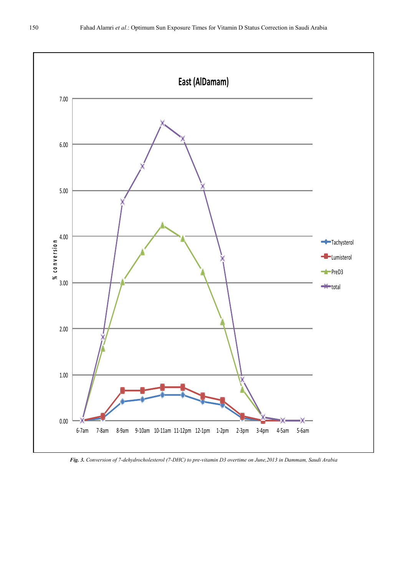

*Fig. 3. Conversion of 7-dehydrocholesterol (7-DHC) to pre-vitamin D3 overtime on June,2013 in Dammam, Saudi Arabia*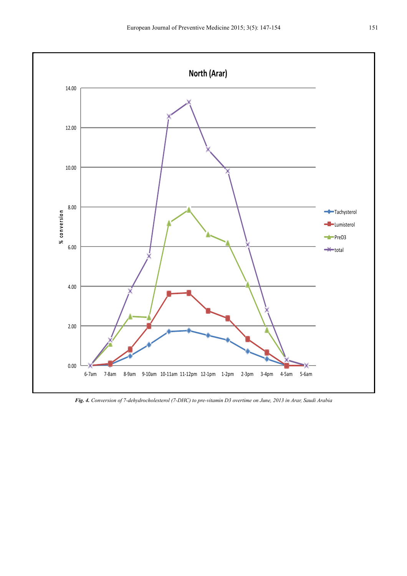

*Fig. 4. Conversion of 7-dehydrocholesterol (7-DHC) to pre-vitamin D3 overtime on June, 2013 in Arar, Saudi Arabia*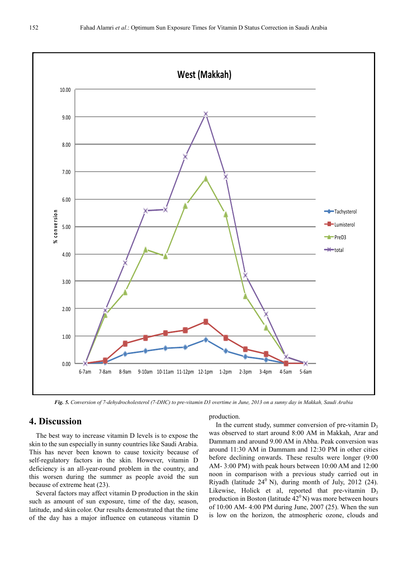

*Fig. 5. Conversion of 7-dehydrocholesterol (7-DHC) to pre-vitamin D3 overtime in June, 2013 on a sunny day in Makkah, Saudi Arabia* 

# **4. Discussion**

The best way to increase vitamin D levels is to expose the skin to the sun especially in sunny countries like Saudi Arabia. This has never been known to cause toxicity because of self-regulatory factors in the skin. However, vitamin D deficiency is an all-year-round problem in the country, and this worsen during the summer as people avoid the sun because of extreme heat (23).

Several factors may affect vitamin D production in the skin such as amount of sun exposure, time of the day, season, latitude, and skin color. Our results demonstrated that the time of the day has a major influence on cutaneous vitamin D

#### production.

In the current study, summer conversion of pre-vitamin  $D_3$ was observed to start around 8:00 AM in Makkah, Arar and Dammam and around 9.00 AM in Abha. Peak conversion was around 11:30 AM in Dammam and 12:30 PM in other cities before declining onwards. These results were longer (9:00 AM- 3:00 PM) with peak hours between 10:00 AM and 12:00 noon in comparison with a previous study carried out in Riyadh (latitude  $24^{\circ}$  N), during month of July, 2012 (24). Likewise, Holick et al, reported that pre-vitamin  $D_3$ production in Boston (latitude  $42^{\circ}$ N) was more between hours of 10:00 AM- 4:00 PM during June, 2007 (25). When the sun is low on the horizon, the atmospheric ozone, clouds and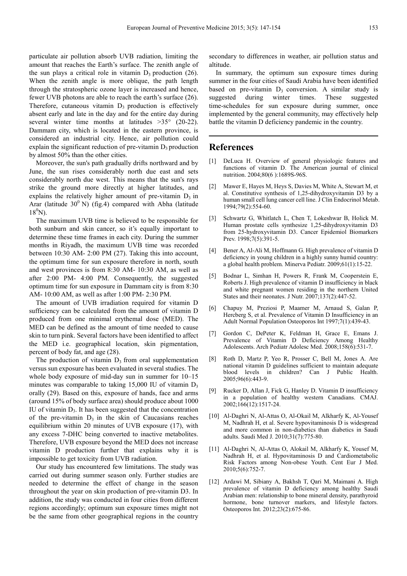particulate air pollution absorb UVB radiation, limiting the amount that reaches the Earth's surface. The zenith angle of the sun plays a critical role in vitamin  $D_3$  production (26). When the zenith angle is more oblique, the path length through the stratospheric ozone layer is increased and hence, fewer UVB photons are able to reach the earth's surface (26). Therefore, cutaneous vitamin  $D_3$  production is effectively absent early and late in the day and for the entire day during several winter time months at latitudes >35° (20-22). Dammam city, which is located in the eastern province, is considered an industrial city. Hence, air pollution could explain the significant reduction of pre-vitamin  $D_3$  production by almost 50% than the other cities.

Moreover, the sun's path gradually drifts northward and by June, the sun rises considerably north due east and sets considerably north due west. This means that the sun's rays strike the ground more directly at higher latitudes, and explains the relatively higher amount of pre-vitamin  $D_3$  in Arar (latitude  $30^0$  N) (fig.4) compared with Abha (latitude  $18^0$ N).

The maximum UVB time is believed to be responsible for both sunburn and skin cancer, so it's equally important to determine these time frames in each city. During the summer months in Riyadh, the maximum UVB time was recorded between 10:30 AM- 2:00 PM (27). Taking this into account, the optimum time for sun exposure therefore in north, south and west provinces is from 8:30 AM- 10:30 AM, as well as after 2:00 PM- 4:00 PM. Consequently, the suggested optimum time for sun exposure in Dammam city is from 8:30 AM- 10:00 AM, as well as after 1:00 PM- 2:30 PM.

The amount of UVB irradiation required for vitamin D sufficiency can be calculated from the amount of vitamin D produced from one minimal erythemal dose (MED). The MED can be defined as the amount of time needed to cause skin to turn pink. Several factors have been identified to affect the MED i.e. geographical location, skin pigmentation, percent of body fat, and age (28).

The production of vitamin  $D_3$  from oral supplementation versus sun exposure has been evaluated in several studies. The whole body exposure of mid-day sun in summer for 10–15 minutes was comparable to taking  $15,000$  IU of vitamin  $D_3$ orally (29). Based on this, exposure of hands, face and arms (around 15% of body surface area) should produce about 1000 IU of vitamin  $D_3$ . It has been suggested that the concentration of the pre-vitamin  $D_3$  in the skin of Caucasians reaches equilibrium within 20 minutes of UVB exposure (17), with any excess 7-DHC being converted to inactive metabolites. Therefore, UVB exposure beyond the MED does not increase vitamin D production further that explains why it is impossible to get toxicity from UVB radiation.

Our study has encountered few limitations. The study was carried out during summer season only. Further studies are needed to determine the effect of change in the season throughout the year on skin production of pre-vitamin D3. In addition, the study was conducted in four cities from different regions accordingly; optimum sun exposure times might not be the same from other geographical regions in the country

secondary to differences in weather, air pollution status and altitude.

In summary, the optimum sun exposure times during summer in the four cities of Saudi Arabia have been identified based on pre-vitamin  $D_3$  conversion. A similar study is suggested during winter times. These suggested time-schedules for sun exposure during summer, once implemented by the general community, may effectively help battle the vitamin D deficiency pandemic in the country.

#### **References**

- [1] DeLuca H. Overview of general physiologic features and functions of vitamin D. The American journal of clinical nutrition. 2004;80(6 ):1689S-96S.
- [2] Mawer E, Hayes M, Heys S, Davies M, White A, Stewart M, et al. Constitutive synthesis of 1,25-dihydroxyvitamin D3 by a human small cell lung cancer cell line. J Clin Endocrinol Metab. 1994;79(2):554-60.
- [3] Schwartz G, Whitlatch L, Chen T, Lokeshwar B, Holick M. Human prostate cells synthesize 1,25-dihydroxyvitamin D3 from 25-hydroxyvitamin D3. Cancer Epidemiol Biomarkers Prev. 1998;7(5):391-5.
- [4] Bener A, Al-Ali M, Hoffmann G. High prevalence of vitamin D deficiency in young children in a highly sunny humid country: a global health problem. Minerva Pediatr. 2009;61(1):15-22.
- [5] Bodnar L, Simhan H, Powers R, Frank M, Cooperstein E, Roberts J. High prevalence of vitamin D insufficiency in black and white pregnant women residing in the northern United States and their neonates. J Nutr. 2007;137(2):447-52.
- [6] Chapuy M, Preziosi P, Maamer M, Arnaud S, Galan P, Hercberg S, et al. Prevalence of Vitamin D Insufficiency in an Adult Normal Population Osteoporos Int 1997;7(1):439-43.
- [7] Gordon C, DePeter K, Feldman H, Grace E, Emans J. Prevalence of Vitamin D Deficiency Among Healthy Adolescents. Arch Pediatr Adolesc Med. 2008;158(6):531-7.
- [8] Roth D, Martz P, Yeo R, Prosser C, Bell M, Jones A. Are national vitamin D guidelines sufficient to maintain adequate blood levels in children? Can J Public Health. 2005;96(6):443-9.
- [9] Rucker D, Allan J, Fick G, Hanley D. Vitamin D insufficiency in a population of healthy western Canadians. CMAJ. 2002;166(12):1517-24.
- [10] Al-Daghri N, Al-Attas O, Al-Okail M, Alkharfy K, Al-Yousef M, Nadhrah H, et al. Severe hypovitaminosis D is widespread and more common in non-diabetics than diabetics in Saudi adults. Saudi Med J. 2010;31(7):775-80.
- [11] Al-Daghri N, Al-Attas O, Alokail M, Alkharfy K, Yousef M, Nadhrah H, et al. Hypovitaminosis D and Cardiometabolic Risk Factors among Non-obese Youth. Cent Eur J Med. 2010;5(6):752-7.
- [12] Ardawi M, Sibiany A, Bakhsh T, Qari M, Maimani A. High prevalence of vitamin D deficiency among healthy Saudi Arabian men: relationship to bone mineral density, parathyroid hormone, bone turnover markers, and lifestyle factors. Osteoporos Int. 2012;23(2):675-86.